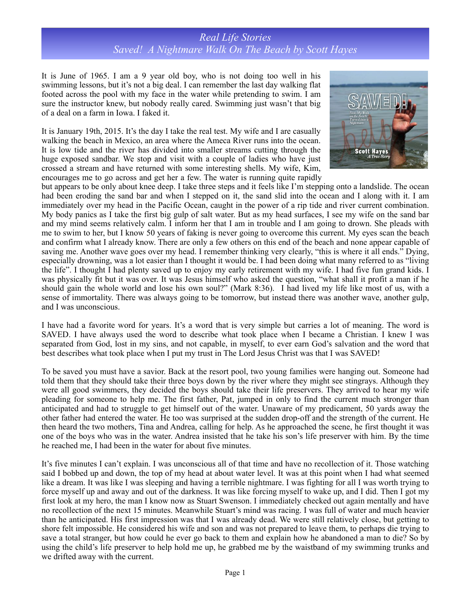## *Real Life Stories Saved! A Nightmare Walk On The Beach by Scott Hayes*

It is June of 1965. I am a 9 year old boy, who is not doing too well in his swimming lessons, but it's not a big deal. I can remember the last day walking flat footed across the pool with my face in the water while pretending to swim. I am sure the instructor knew, but nobody really cared. Swimming just wasn't that big of a deal on a farm in Iowa. I faked it.

It is January 19th, 2015. It's the day I take the real test. My wife and I are casually walking the beach in Mexico, an area where the Ameca River runs into the ocean. It is low tide and the river has divided into smaller streams cutting through the huge exposed sandbar. We stop and visit with a couple of ladies who have just crossed a stream and have returned with some interesting shells. My wife, Kim, encourages me to go across and get her a few. The water is running quite rapidly



but appears to be only about knee deep. I take three steps and it feels like I'm stepping onto a landslide. The ocean had been eroding the sand bar and when I stepped on it, the sand slid into the ocean and I along with it. I am immediately over my head in the Pacific Ocean, caught in the power of a rip tide and river current combination. My body panics as I take the first big gulp of salt water. But as my head surfaces, I see my wife on the sand bar and my mind seems relatively calm. I inform her that I am in trouble and I am going to drown. She pleads with me to swim to her, but I know 50 years of faking is never going to overcome this current. My eyes scan the beach and confirm what I already know. There are only a few others on this end of the beach and none appear capable of saving me. Another wave goes over my head. I remember thinking very clearly, "this is where it all ends." Dying, especially drowning, was a lot easier than I thought it would be. I had been doing what many referred to as "living the life". I thought I had plenty saved up to enjoy my early retirement with my wife. I had five fun grand kids. I was physically fit but it was over. It was Jesus himself who asked the question, "what shall it profit a man if he should gain the whole world and lose his own soul?" (Mark 8:36). I had lived my life like most of us, with a sense of immortality. There was always going to be tomorrow, but instead there was another wave, another gulp, and I was unconscious.

I have had a favorite word for years. It's a word that is very simple but carries a lot of meaning. The word is SAVED. I have always used the word to describe what took place when I became a Christian. I knew I was separated from God, lost in my sins, and not capable, in myself, to ever earn God's salvation and the word that best describes what took place when I put my trust in The Lord Jesus Christ was that I was SAVED!

To be saved you must have a savior. Back at the resort pool, two young families were hanging out. Someone had told them that they should take their three boys down by the river where they might see stingrays. Although they were all good swimmers, they decided the boys should take their life preservers. They arrived to hear my wife pleading for someone to help me. The first father, Pat, jumped in only to find the current much stronger than anticipated and had to struggle to get himself out of the water. Unaware of my predicament, 50 yards away the other father had entered the water. He too was surprised at the sudden drop-off and the strength of the current. He then heard the two mothers, Tina and Andrea, calling for help. As he approached the scene, he first thought it was one of the boys who was in the water. Andrea insisted that he take his son's life preserver with him. By the time he reached me, I had been in the water for about five minutes.

It's five minutes I can't explain. I was unconscious all of that time and have no recollection of it. Those watching said I bobbed up and down, the top of my head at about water level. It was at this point when I had what seemed like a dream. It was like I was sleeping and having a terrible nightmare. I was fighting for all I was worth trying to force myself up and away and out of the darkness. It was like forcing myself to wake up, and I did. Then I got my first look at my hero, the man I know now as Stuart Swenson. I immediately checked out again mentally and have no recollection of the next 15 minutes. Meanwhile Stuart's mind was racing. I was full of water and much heavier than he anticipated. His first impression was that I was already dead. We were still relatively close, but getting to shore felt impossible. He considered his wife and son and was not prepared to leave them, to perhaps die trying to save a total stranger, but how could he ever go back to them and explain how he abandoned a man to die? So by using the child's life preserver to help hold me up, he grabbed me by the waistband of my swimming trunks and we drifted away with the current.